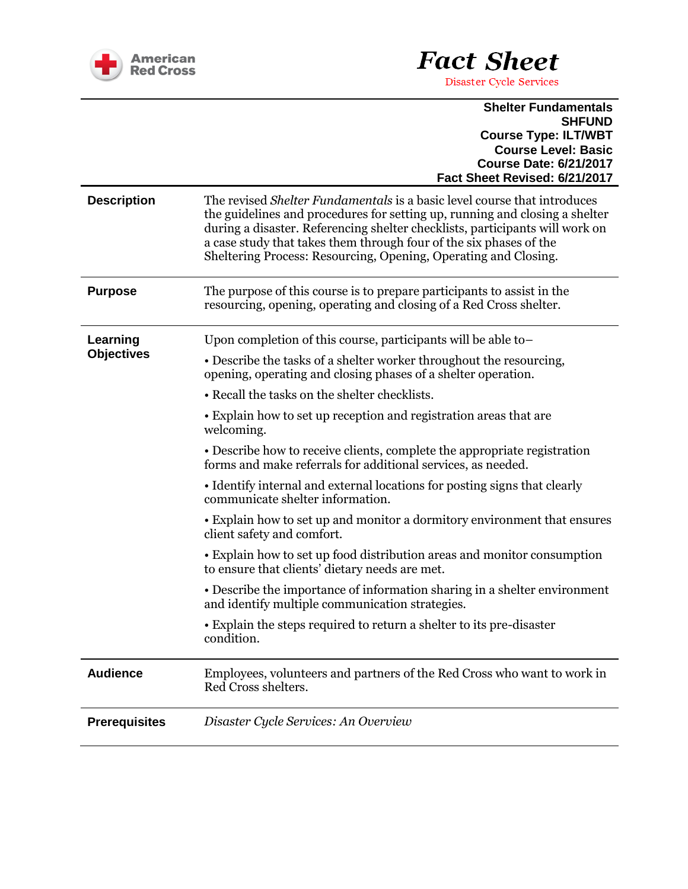

## **Fact Sheet**

Disaster Cycle Services

## **Shelter Fundamentals SHFUND Course Type: ILT/WBT Course Level: Basic Course Date: 6/21/2017 Fact Sheet Revised: 6/21/2017**

| <b>Description</b>            | The revised <i>Shelter Fundamentals</i> is a basic level course that introduces<br>the guidelines and procedures for setting up, running and closing a shelter<br>during a disaster. Referencing shelter checklists, participants will work on<br>a case study that takes them through four of the six phases of the<br>Sheltering Process: Resourcing, Opening, Operating and Closing. |
|-------------------------------|-----------------------------------------------------------------------------------------------------------------------------------------------------------------------------------------------------------------------------------------------------------------------------------------------------------------------------------------------------------------------------------------|
| <b>Purpose</b>                | The purpose of this course is to prepare participants to assist in the<br>resourcing, opening, operating and closing of a Red Cross shelter.                                                                                                                                                                                                                                            |
| Learning<br><b>Objectives</b> | Upon completion of this course, participants will be able to-<br>• Describe the tasks of a shelter worker throughout the resourcing,<br>opening, operating and closing phases of a shelter operation.                                                                                                                                                                                   |
|                               | • Recall the tasks on the shelter checklists.                                                                                                                                                                                                                                                                                                                                           |
|                               | • Explain how to set up reception and registration areas that are<br>welcoming.                                                                                                                                                                                                                                                                                                         |
|                               | • Describe how to receive clients, complete the appropriate registration<br>forms and make referrals for additional services, as needed.                                                                                                                                                                                                                                                |
|                               | • Identify internal and external locations for posting signs that clearly<br>communicate shelter information.                                                                                                                                                                                                                                                                           |
|                               | • Explain how to set up and monitor a dormitory environment that ensures<br>client safety and comfort.                                                                                                                                                                                                                                                                                  |
|                               | • Explain how to set up food distribution areas and monitor consumption<br>to ensure that clients' dietary needs are met.                                                                                                                                                                                                                                                               |
|                               | • Describe the importance of information sharing in a shelter environment<br>and identify multiple communication strategies.                                                                                                                                                                                                                                                            |
|                               | • Explain the steps required to return a shelter to its pre-disaster<br>condition.                                                                                                                                                                                                                                                                                                      |
| <b>Audience</b>               | Employees, volunteers and partners of the Red Cross who want to work in<br>Red Cross shelters.                                                                                                                                                                                                                                                                                          |
| <b>Prerequisites</b>          | Disaster Cycle Services: An Overview                                                                                                                                                                                                                                                                                                                                                    |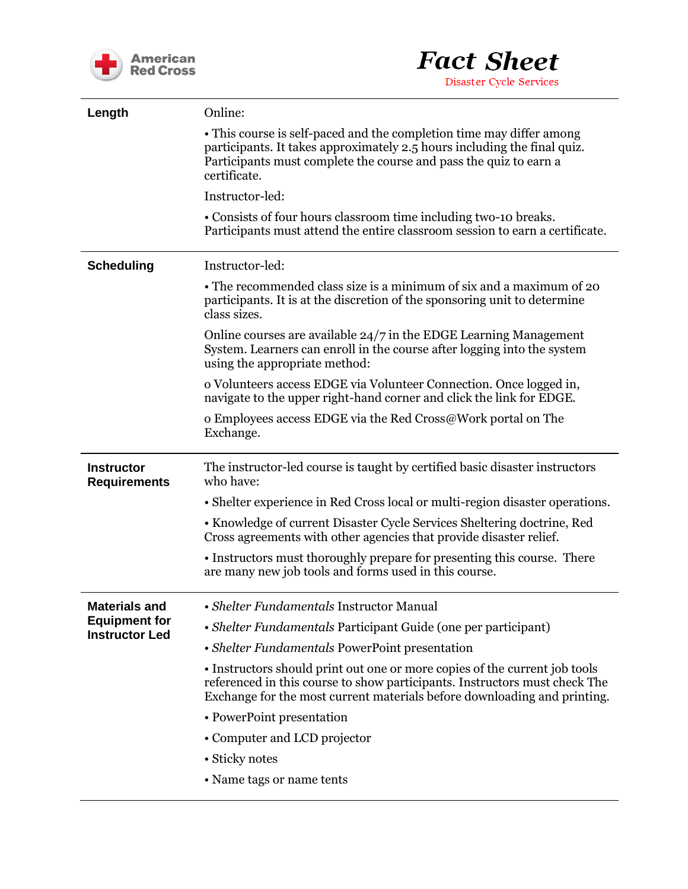



| Length                                                                | Online:                                                                                                                                                                                                                               |
|-----------------------------------------------------------------------|---------------------------------------------------------------------------------------------------------------------------------------------------------------------------------------------------------------------------------------|
|                                                                       | • This course is self-paced and the completion time may differ among<br>participants. It takes approximately 2.5 hours including the final quiz.<br>Participants must complete the course and pass the quiz to earn a<br>certificate. |
|                                                                       | Instructor-led:                                                                                                                                                                                                                       |
|                                                                       | • Consists of four hours classroom time including two-10 breaks.<br>Participants must attend the entire classroom session to earn a certificate.                                                                                      |
| <b>Scheduling</b>                                                     | Instructor-led:                                                                                                                                                                                                                       |
|                                                                       | • The recommended class size is a minimum of six and a maximum of 20<br>participants. It is at the discretion of the sponsoring unit to determine<br>class sizes.                                                                     |
|                                                                       | Online courses are available $24/7$ in the EDGE Learning Management<br>System. Learners can enroll in the course after logging into the system<br>using the appropriate method:                                                       |
|                                                                       | o Volunteers access EDGE via Volunteer Connection. Once logged in,<br>navigate to the upper right-hand corner and click the link for EDGE.                                                                                            |
|                                                                       | o Employees access EDGE via the Red Cross@Work portal on The<br>Exchange.                                                                                                                                                             |
| <b>Instructor</b><br><b>Requirements</b>                              | The instructor-led course is taught by certified basic disaster instructors<br>who have:                                                                                                                                              |
|                                                                       | • Shelter experience in Red Cross local or multi-region disaster operations.                                                                                                                                                          |
|                                                                       | • Knowledge of current Disaster Cycle Services Sheltering doctrine, Red<br>Cross agreements with other agencies that provide disaster relief.                                                                                         |
|                                                                       | • Instructors must thoroughly prepare for presenting this course. There<br>are many new job tools and forms used in this course.                                                                                                      |
| <b>Materials and</b><br><b>Equipment for</b><br><b>Instructor Led</b> | • Shelter Fundamentals Instructor Manual                                                                                                                                                                                              |
|                                                                       | • Shelter Fundamentals Participant Guide (one per participant)                                                                                                                                                                        |
|                                                                       | • Shelter Fundamentals PowerPoint presentation                                                                                                                                                                                        |
|                                                                       | • Instructors should print out one or more copies of the current job tools<br>referenced in this course to show participants. Instructors must check The<br>Exchange for the most current materials before downloading and printing.  |
|                                                                       | • PowerPoint presentation                                                                                                                                                                                                             |
|                                                                       | • Computer and LCD projector                                                                                                                                                                                                          |
|                                                                       | • Sticky notes                                                                                                                                                                                                                        |
|                                                                       | • Name tags or name tents                                                                                                                                                                                                             |